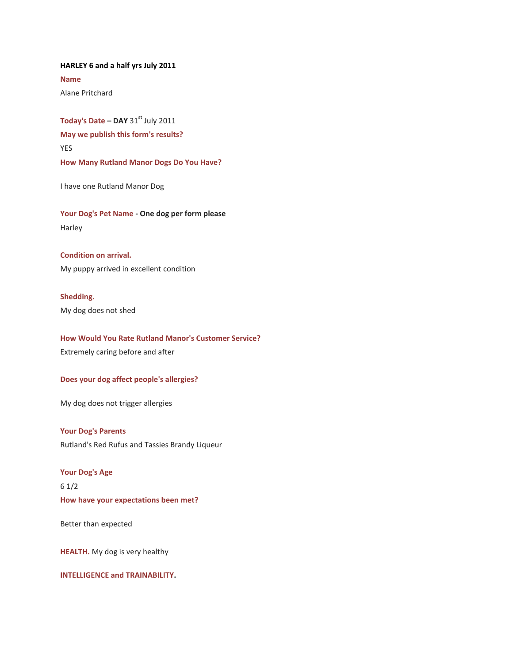**HARLEY 6 and a half yrs July 2011 Name** Alane Pritchard

**Today's Date - DAY 31st July 2011 May we publish this form's results?** YES **How Many Rutland Manor Dogs Do You Have?**

I have one Rutland Manor Dog

**Your Dog's Pet Name - One dog per form please** Harley

**Condition on arrival.** My puppy arrived in excellent condition

**Shedding.**  My dog does not shed

**How Would You Rate Rutland Manor's Customer Service?** Extremely caring before and after

**Does your dog affect people's allergies?**

My dog does not trigger allergies

**Your Dog's Parents** Rutland's Red Rufus and Tassies Brandy Liqueur

**Your Dog's Age** 6 1/2 **How have your expectations been met?** 

Better than expected

**HEALTH.** My dog is very healthy

**INTELLIGENCE and TRAINABILITY.**